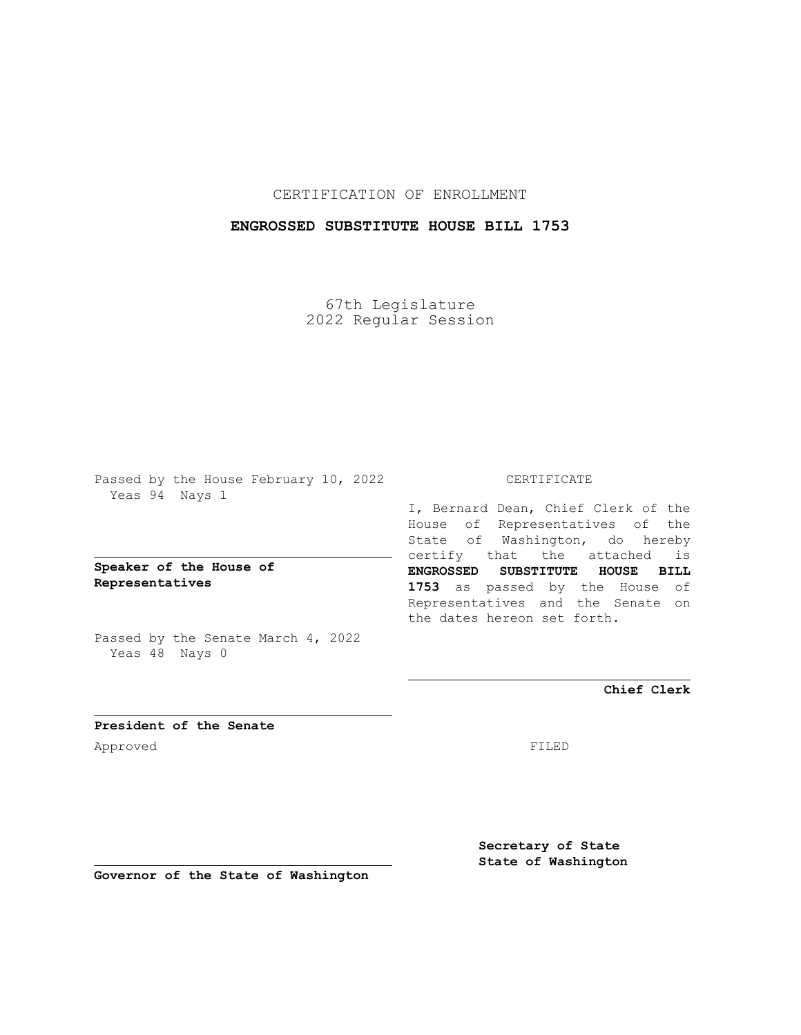CERTIFICATION OF ENROLLMENT

## **ENGROSSED SUBSTITUTE HOUSE BILL 1753**

67th Legislature 2022 Regular Session

Passed by the House February 10, 2022 Yeas 94 Nays 1

**Speaker of the House of Representatives**

Passed by the Senate March 4, 2022 Yeas 48 Nays 0

## CERTIFICATE

I, Bernard Dean, Chief Clerk of the House of Representatives of the State of Washington, do hereby certify that the attached is **ENGROSSED SUBSTITUTE HOUSE BILL 1753** as passed by the House of Representatives and the Senate on the dates hereon set forth.

**Chief Clerk**

**President of the Senate** Approved FILED

**Secretary of State State of Washington**

**Governor of the State of Washington**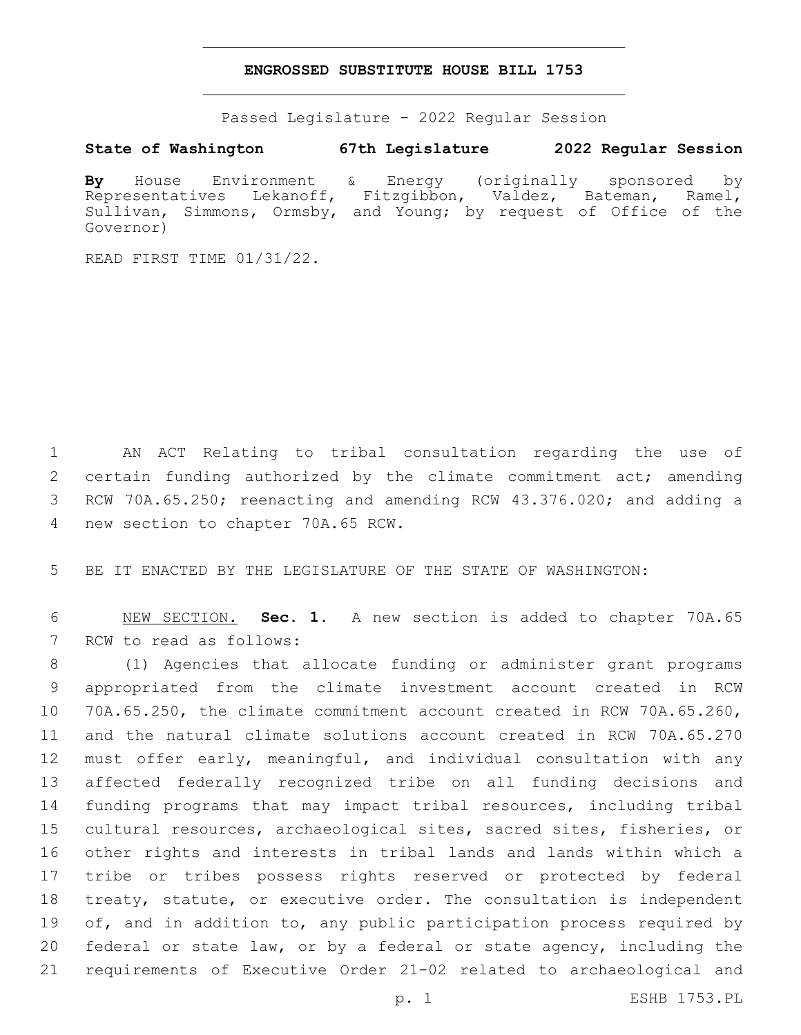## **ENGROSSED SUBSTITUTE HOUSE BILL 1753**

Passed Legislature - 2022 Regular Session

**State of Washington 67th Legislature 2022 Regular Session**

**By** House Environment & Energy (originally sponsored by Representatives Lekanoff, Fitzgibbon, Valdez, Bateman, Ramel, Sullivan, Simmons, Ormsby, and Young; by request of Office of the Governor)

READ FIRST TIME 01/31/22.

1 AN ACT Relating to tribal consultation regarding the use of 2 certain funding authorized by the climate commitment act; amending 3 RCW 70A.65.250; reenacting and amending RCW 43.376.020; and adding a 4 new section to chapter 70A.65 RCW.

5 BE IT ENACTED BY THE LEGISLATURE OF THE STATE OF WASHINGTON:

6 NEW SECTION. **Sec. 1.** A new section is added to chapter 70A.65 7 RCW to read as follows:

 (1) Agencies that allocate funding or administer grant programs appropriated from the climate investment account created in RCW 70A.65.250, the climate commitment account created in RCW 70A.65.260, and the natural climate solutions account created in RCW 70A.65.270 must offer early, meaningful, and individual consultation with any affected federally recognized tribe on all funding decisions and funding programs that may impact tribal resources, including tribal cultural resources, archaeological sites, sacred sites, fisheries, or other rights and interests in tribal lands and lands within which a tribe or tribes possess rights reserved or protected by federal treaty, statute, or executive order. The consultation is independent 19 of, and in addition to, any public participation process required by federal or state law, or by a federal or state agency, including the requirements of Executive Order 21-02 related to archaeological and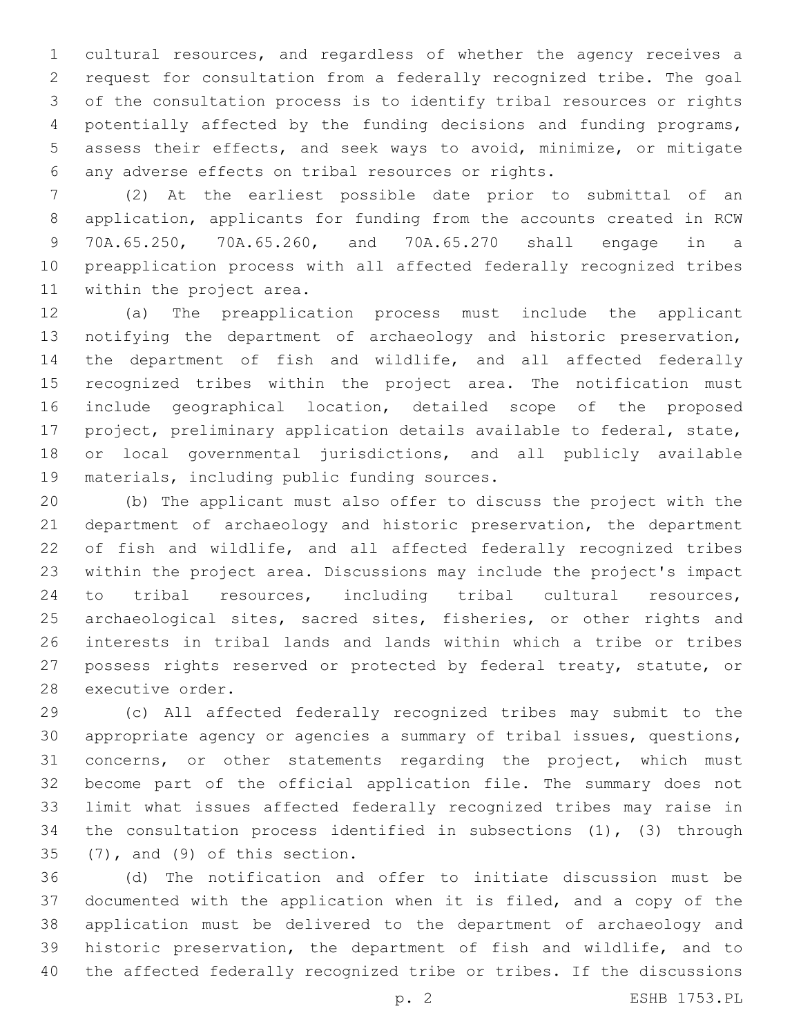cultural resources, and regardless of whether the agency receives a request for consultation from a federally recognized tribe. The goal of the consultation process is to identify tribal resources or rights potentially affected by the funding decisions and funding programs, assess their effects, and seek ways to avoid, minimize, or mitigate any adverse effects on tribal resources or rights.6

 (2) At the earliest possible date prior to submittal of an application, applicants for funding from the accounts created in RCW 70A.65.250, 70A.65.260, and 70A.65.270 shall engage in a preapplication process with all affected federally recognized tribes 11 within the project area.

 (a) The preapplication process must include the applicant notifying the department of archaeology and historic preservation, the department of fish and wildlife, and all affected federally recognized tribes within the project area. The notification must include geographical location, detailed scope of the proposed project, preliminary application details available to federal, state, or local governmental jurisdictions, and all publicly available 19 materials, including public funding sources.

 (b) The applicant must also offer to discuss the project with the department of archaeology and historic preservation, the department of fish and wildlife, and all affected federally recognized tribes within the project area. Discussions may include the project's impact to tribal resources, including tribal cultural resources, 25 archaeological sites, sacred sites, fisheries, or other rights and interests in tribal lands and lands within which a tribe or tribes possess rights reserved or protected by federal treaty, statute, or 28 executive order.

 (c) All affected federally recognized tribes may submit to the appropriate agency or agencies a summary of tribal issues, questions, concerns, or other statements regarding the project, which must become part of the official application file. The summary does not limit what issues affected federally recognized tribes may raise in the consultation process identified in subsections (1), (3) through  $(7)$ , and  $(9)$  of this section.

 (d) The notification and offer to initiate discussion must be documented with the application when it is filed, and a copy of the application must be delivered to the department of archaeology and historic preservation, the department of fish and wildlife, and to the affected federally recognized tribe or tribes. If the discussions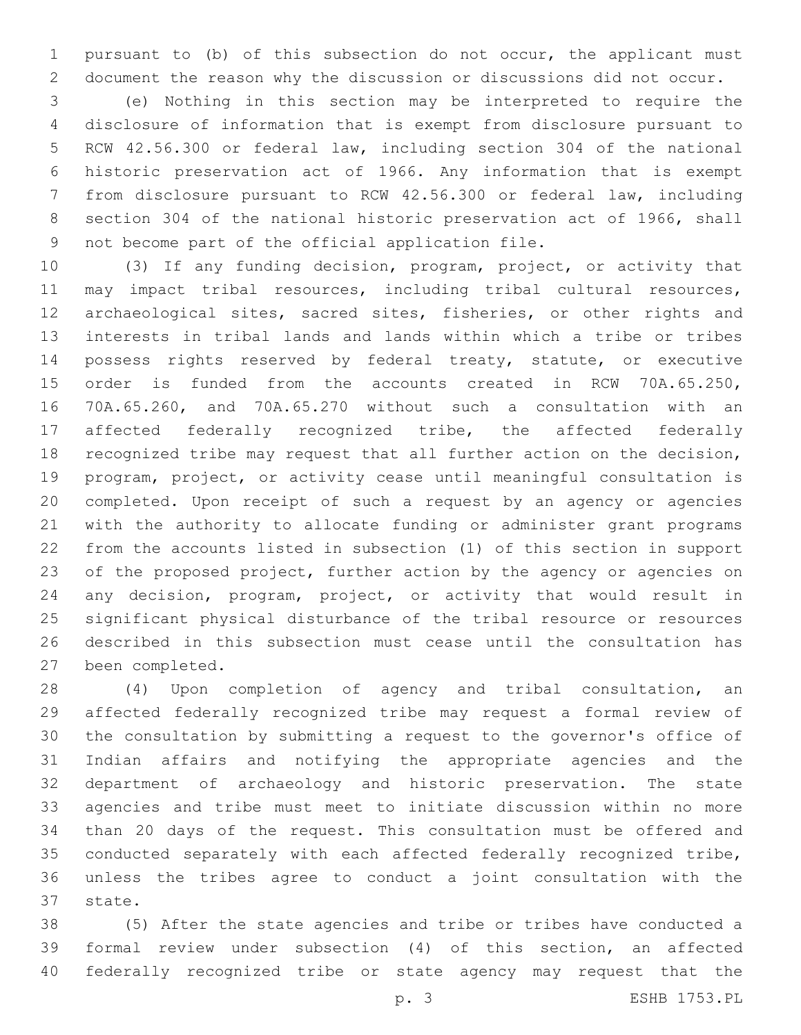pursuant to (b) of this subsection do not occur, the applicant must document the reason why the discussion or discussions did not occur.

 (e) Nothing in this section may be interpreted to require the disclosure of information that is exempt from disclosure pursuant to RCW 42.56.300 or federal law, including section 304 of the national historic preservation act of 1966. Any information that is exempt from disclosure pursuant to RCW 42.56.300 or federal law, including section 304 of the national historic preservation act of 1966, shall 9 not become part of the official application file.

 (3) If any funding decision, program, project, or activity that may impact tribal resources, including tribal cultural resources, archaeological sites, sacred sites, fisheries, or other rights and interests in tribal lands and lands within which a tribe or tribes possess rights reserved by federal treaty, statute, or executive order is funded from the accounts created in RCW 70A.65.250, 70A.65.260, and 70A.65.270 without such a consultation with an affected federally recognized tribe, the affected federally recognized tribe may request that all further action on the decision, program, project, or activity cease until meaningful consultation is completed. Upon receipt of such a request by an agency or agencies with the authority to allocate funding or administer grant programs from the accounts listed in subsection (1) of this section in support of the proposed project, further action by the agency or agencies on any decision, program, project, or activity that would result in significant physical disturbance of the tribal resource or resources described in this subsection must cease until the consultation has 27 been completed.

 (4) Upon completion of agency and tribal consultation, an affected federally recognized tribe may request a formal review of the consultation by submitting a request to the governor's office of Indian affairs and notifying the appropriate agencies and the department of archaeology and historic preservation. The state agencies and tribe must meet to initiate discussion within no more than 20 days of the request. This consultation must be offered and conducted separately with each affected federally recognized tribe, unless the tribes agree to conduct a joint consultation with the 37 state.

 (5) After the state agencies and tribe or tribes have conducted a formal review under subsection (4) of this section, an affected federally recognized tribe or state agency may request that the

p. 3 ESHB 1753.PL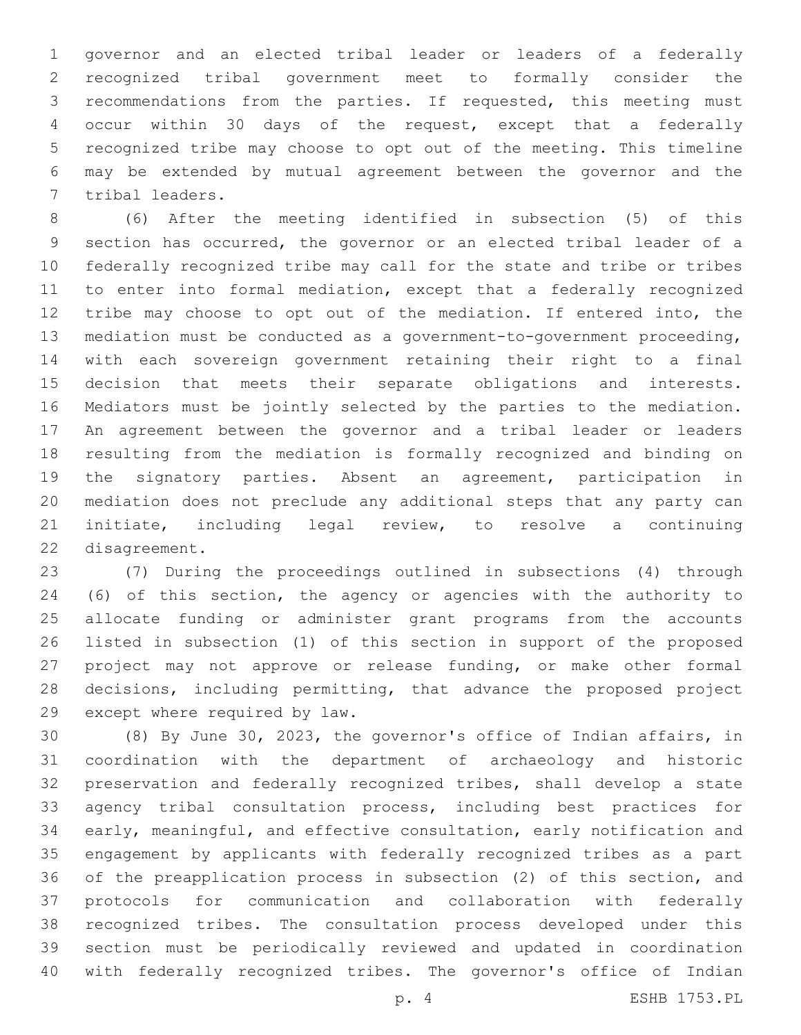governor and an elected tribal leader or leaders of a federally recognized tribal government meet to formally consider the recommendations from the parties. If requested, this meeting must occur within 30 days of the request, except that a federally recognized tribe may choose to opt out of the meeting. This timeline may be extended by mutual agreement between the governor and the 7 tribal leaders.

 (6) After the meeting identified in subsection (5) of this section has occurred, the governor or an elected tribal leader of a federally recognized tribe may call for the state and tribe or tribes to enter into formal mediation, except that a federally recognized tribe may choose to opt out of the mediation. If entered into, the mediation must be conducted as a government-to-government proceeding, with each sovereign government retaining their right to a final decision that meets their separate obligations and interests. Mediators must be jointly selected by the parties to the mediation. An agreement between the governor and a tribal leader or leaders resulting from the mediation is formally recognized and binding on the signatory parties. Absent an agreement, participation in mediation does not preclude any additional steps that any party can initiate, including legal review, to resolve a continuing 22 disagreement.

 (7) During the proceedings outlined in subsections (4) through (6) of this section, the agency or agencies with the authority to allocate funding or administer grant programs from the accounts listed in subsection (1) of this section in support of the proposed project may not approve or release funding, or make other formal decisions, including permitting, that advance the proposed project 29 except where required by law.

 (8) By June 30, 2023, the governor's office of Indian affairs, in coordination with the department of archaeology and historic preservation and federally recognized tribes, shall develop a state agency tribal consultation process, including best practices for early, meaningful, and effective consultation, early notification and engagement by applicants with federally recognized tribes as a part of the preapplication process in subsection (2) of this section, and protocols for communication and collaboration with federally recognized tribes. The consultation process developed under this section must be periodically reviewed and updated in coordination with federally recognized tribes. The governor's office of Indian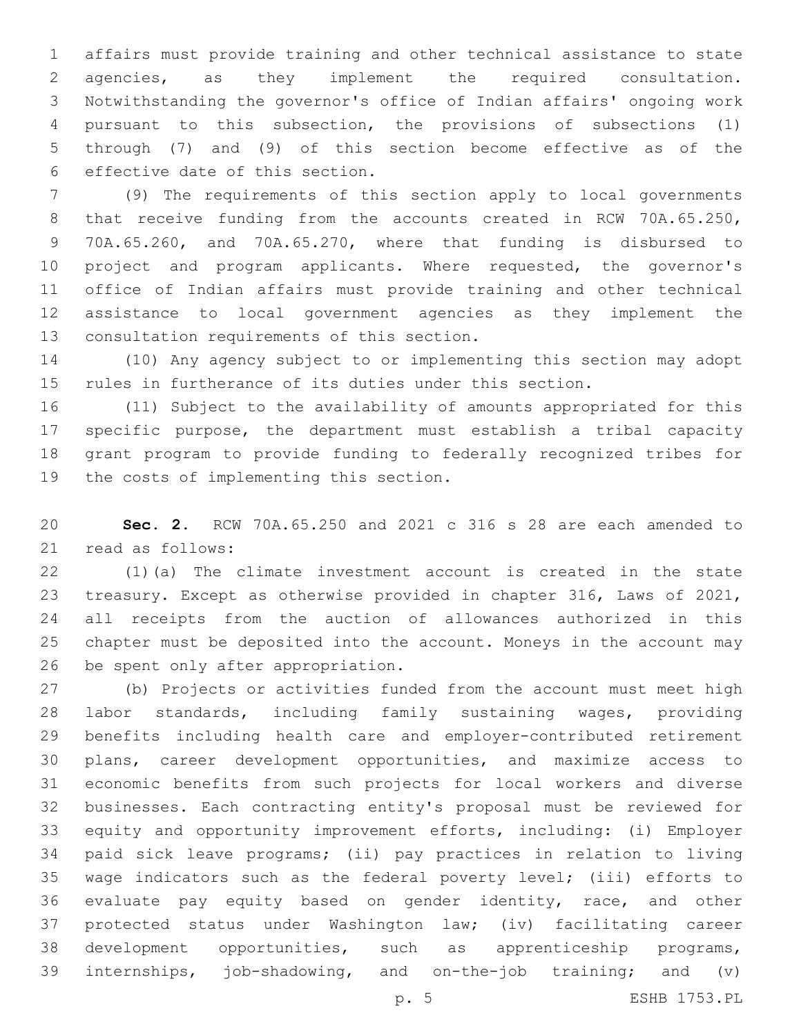affairs must provide training and other technical assistance to state agencies, as they implement the required consultation. Notwithstanding the governor's office of Indian affairs' ongoing work pursuant to this subsection, the provisions of subsections (1) through (7) and (9) of this section become effective as of the 6 effective date of this section.

 (9) The requirements of this section apply to local governments 8 that receive funding from the accounts created in RCW 70A.65.250, 70A.65.260, and 70A.65.270, where that funding is disbursed to project and program applicants. Where requested, the governor's office of Indian affairs must provide training and other technical assistance to local government agencies as they implement the 13 consultation requirements of this section.

 (10) Any agency subject to or implementing this section may adopt rules in furtherance of its duties under this section.

 (11) Subject to the availability of amounts appropriated for this specific purpose, the department must establish a tribal capacity grant program to provide funding to federally recognized tribes for 19 the costs of implementing this section.

 **Sec. 2.** RCW 70A.65.250 and 2021 c 316 s 28 are each amended to 21 read as follows:

 (1)(a) The climate investment account is created in the state treasury. Except as otherwise provided in chapter 316, Laws of 2021, all receipts from the auction of allowances authorized in this chapter must be deposited into the account. Moneys in the account may 26 be spent only after appropriation.

 (b) Projects or activities funded from the account must meet high labor standards, including family sustaining wages, providing benefits including health care and employer-contributed retirement plans, career development opportunities, and maximize access to economic benefits from such projects for local workers and diverse businesses. Each contracting entity's proposal must be reviewed for equity and opportunity improvement efforts, including: (i) Employer paid sick leave programs; (ii) pay practices in relation to living wage indicators such as the federal poverty level; (iii) efforts to evaluate pay equity based on gender identity, race, and other protected status under Washington law; (iv) facilitating career development opportunities, such as apprenticeship programs, internships, job-shadowing, and on-the-job training; and (v)

p. 5 ESHB 1753.PL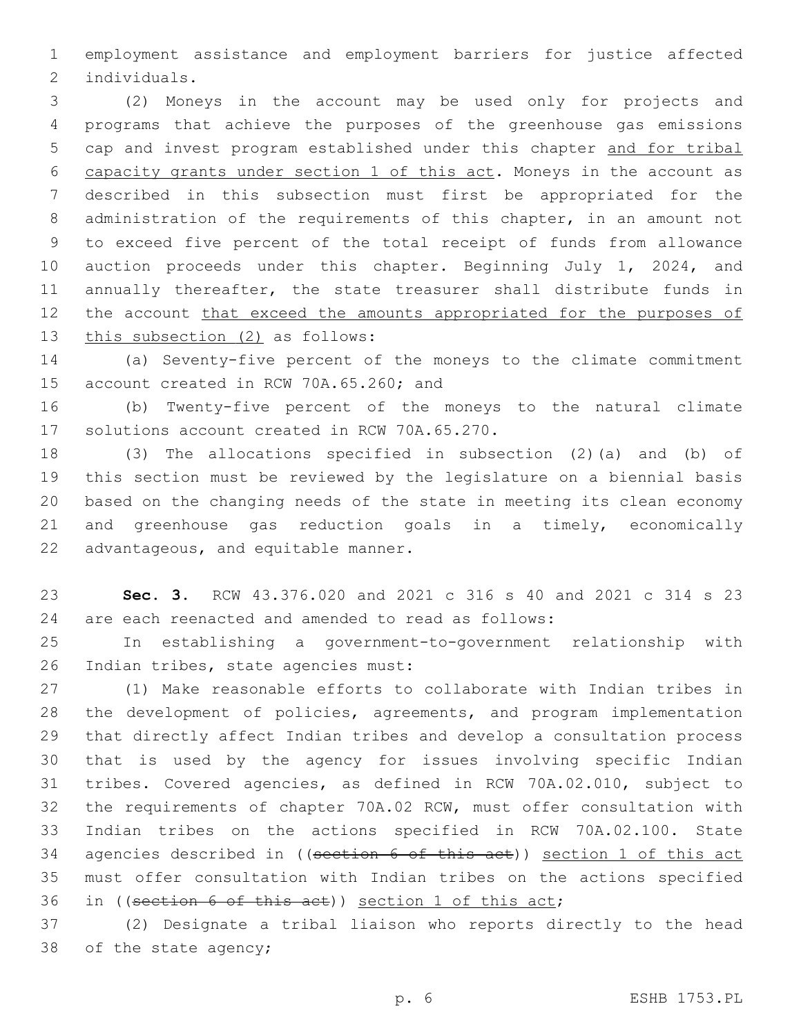employment assistance and employment barriers for justice affected 2 individuals.

 (2) Moneys in the account may be used only for projects and programs that achieve the purposes of the greenhouse gas emissions cap and invest program established under this chapter and for tribal capacity grants under section 1 of this act. Moneys in the account as described in this subsection must first be appropriated for the administration of the requirements of this chapter, in an amount not to exceed five percent of the total receipt of funds from allowance auction proceeds under this chapter. Beginning July 1, 2024, and annually thereafter, the state treasurer shall distribute funds in 12 the account that exceed the amounts appropriated for the purposes of 13 this subsection (2) as follows:

 (a) Seventy-five percent of the moneys to the climate commitment 15 account created in RCW 70A.65.260; and

 (b) Twenty-five percent of the moneys to the natural climate 17 solutions account created in RCW 70A.65.270.

 (3) The allocations specified in subsection (2)(a) and (b) of this section must be reviewed by the legislature on a biennial basis based on the changing needs of the state in meeting its clean economy and greenhouse gas reduction goals in a timely, economically 22 advantageous, and equitable manner.

 **Sec. 3.** RCW 43.376.020 and 2021 c 316 s 40 and 2021 c 314 s 23 are each reenacted and amended to read as follows:

 In establishing a government-to-government relationship with 26 Indian tribes, state agencies must:

 (1) Make reasonable efforts to collaborate with Indian tribes in the development of policies, agreements, and program implementation that directly affect Indian tribes and develop a consultation process that is used by the agency for issues involving specific Indian tribes. Covered agencies, as defined in RCW 70A.02.010, subject to the requirements of chapter 70A.02 RCW, must offer consultation with Indian tribes on the actions specified in RCW 70A.02.100. State 34 agencies described in ((section 6 of this act)) section 1 of this act must offer consultation with Indian tribes on the actions specified in ((section 6 of this act)) section 1 of this act;

 (2) Designate a tribal liaison who reports directly to the head 38 of the state agency;